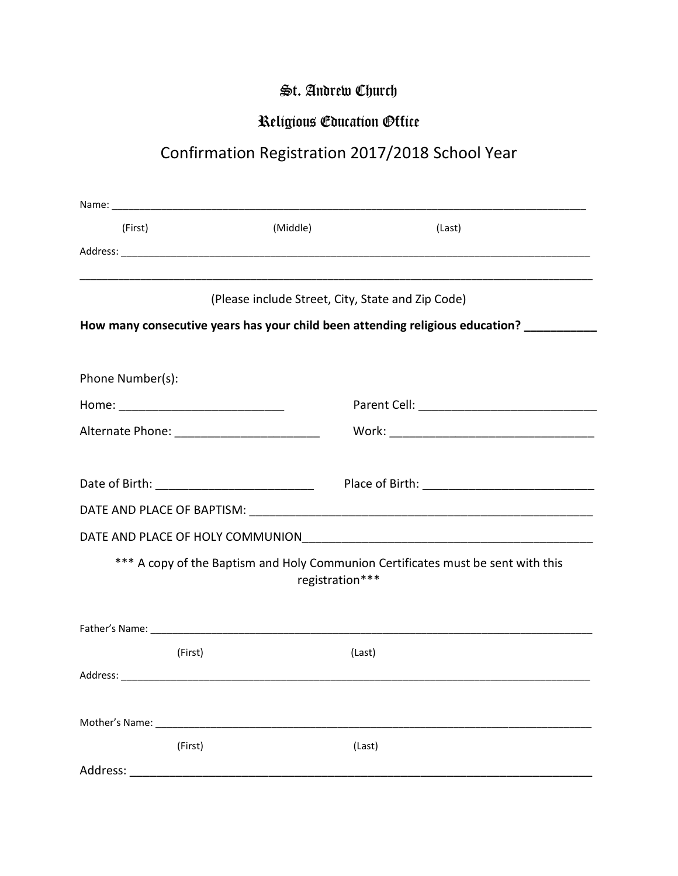## St. Andrew Church

## Religious Education Office

## Confirmation Registration 2017/2018 School Year

| (First)                                                                                             | (Middle)                                          | (Last)                                                                           |  |  |
|-----------------------------------------------------------------------------------------------------|---------------------------------------------------|----------------------------------------------------------------------------------|--|--|
|                                                                                                     |                                                   |                                                                                  |  |  |
|                                                                                                     |                                                   | ,我们就是一个人的人,我们就是一个人的人,我们就是一个人的人,我们就是一个人的人,我们就是一个人的人,我们就是一个人的人,我们就是一个人的人,我们就是一个人的人 |  |  |
|                                                                                                     | (Please include Street, City, State and Zip Code) |                                                                                  |  |  |
| How many consecutive years has your child been attending religious education? ________              |                                                   |                                                                                  |  |  |
|                                                                                                     |                                                   |                                                                                  |  |  |
| Phone Number(s):                                                                                    |                                                   |                                                                                  |  |  |
|                                                                                                     |                                                   |                                                                                  |  |  |
| Alternate Phone: ____________________________                                                       |                                                   |                                                                                  |  |  |
|                                                                                                     |                                                   |                                                                                  |  |  |
|                                                                                                     |                                                   |                                                                                  |  |  |
|                                                                                                     |                                                   |                                                                                  |  |  |
|                                                                                                     |                                                   |                                                                                  |  |  |
| *** A copy of the Baptism and Holy Communion Certificates must be sent with this<br>registration*** |                                                   |                                                                                  |  |  |
|                                                                                                     |                                                   |                                                                                  |  |  |
|                                                                                                     |                                                   |                                                                                  |  |  |
| (First)                                                                                             |                                                   | (Last)                                                                           |  |  |
|                                                                                                     |                                                   |                                                                                  |  |  |
|                                                                                                     |                                                   |                                                                                  |  |  |
| Mother's Name: Name                                                                                 |                                                   |                                                                                  |  |  |
| (First)                                                                                             |                                                   | (Last)                                                                           |  |  |
| Address:                                                                                            |                                                   |                                                                                  |  |  |